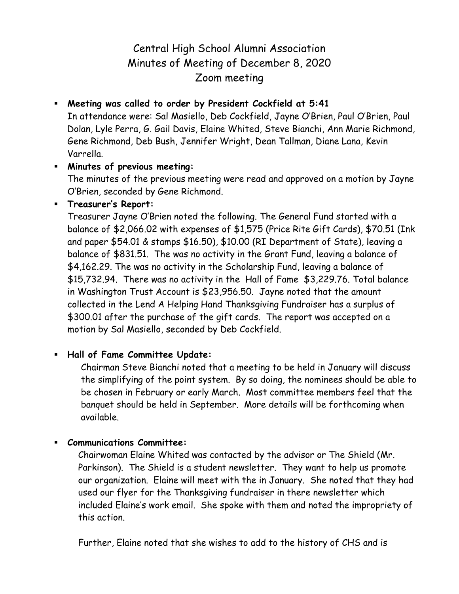# Central High School Alumni Association Minutes of Meeting of December 8, 2020 Zoom meeting

## **Meeting was called to order by President Cockfield at 5:41**

In attendance were: Sal Masiello, Deb Cockfield, Jayne O'Brien, Paul O'Brien, Paul Dolan, Lyle Perra, G. Gail Davis, Elaine Whited, Steve Bianchi, Ann Marie Richmond, Gene Richmond, Deb Bush, Jennifer Wright, Dean Tallman, Diane Lana, Kevin Varrella.

### **Minutes of previous meeting:**

The minutes of the previous meeting were read and approved on a motion by Jayne O'Brien, seconded by Gene Richmond.

## **Treasurer's Report:**

Treasurer Jayne O'Brien noted the following. The General Fund started with a balance of \$2,066.02 with expenses of \$1,575 (Price Rite Gift Cards), \$70.51 (Ink and paper \$54.01 & stamps \$16.50), \$10.00 (RI Department of State), leaving a balance of \$831.51. The was no activity in the Grant Fund, leaving a balance of \$4,162.29. The was no activity in the Scholarship Fund, leaving a balance of \$15,732.94. There was no activity in the Hall of Fame \$3,229.76. Total balance in Washington Trust Account is \$23,956.50. Jayne noted that the amount collected in the Lend A Helping Hand Thanksgiving Fundraiser has a surplus of \$300.01 after the purchase of the gift cards. The report was accepted on a motion by Sal Masiello, seconded by Deb Cockfield.

## **Hall of Fame Committee Update:**

Chairman Steve Bianchi noted that a meeting to be held in January will discuss the simplifying of the point system. By so doing, the nominees should be able to be chosen in February or early March. Most committee members feel that the banquet should be held in September. More details will be forthcoming when available.

### **Communications Committee:**

 Chairwoman Elaine Whited was contacted by the advisor or The Shield (Mr. Parkinson). The Shield is a student newsletter. They want to help us promote our organization. Elaine will meet with the in January. She noted that they had used our flyer for the Thanksgiving fundraiser in there newsletter which included Elaine's work email. She spoke with them and noted the impropriety of this action.

Further, Elaine noted that she wishes to add to the history of CHS and is